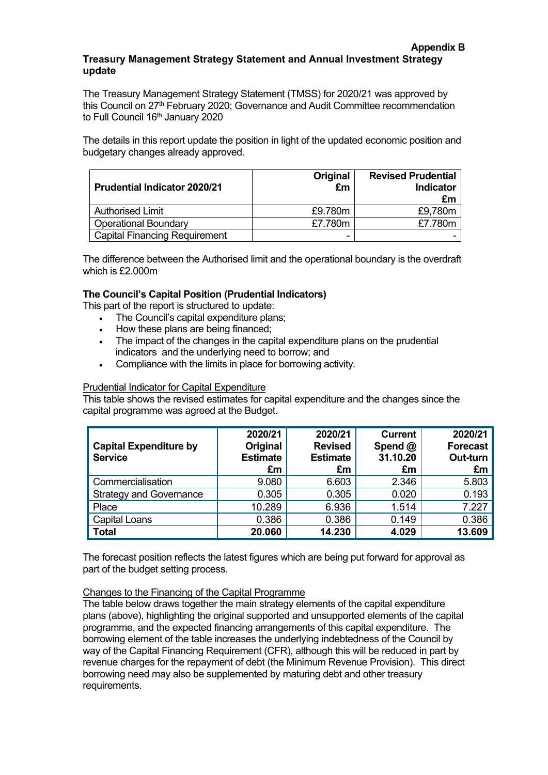#### **Appendix B Treasury Management Strategy Statement and Annual Investment Strategy update**

The Treasury Management Strategy Statement (TMSS) for 2020/21 was approved by this Council on 27<sup>th</sup> February 2020; Governance and Audit Committee recommendation to Full Council 16<sup>th</sup> January 2020

The details in this report update the position in light of the updated economic position and budgetary changes already approved.

| <b>Prudential Indicator 2020/21</b>  | Original<br>£m | <b>Revised Prudential</b><br><b>Indicator</b><br>£m |
|--------------------------------------|----------------|-----------------------------------------------------|
| <b>Authorised Limit</b>              | £9.780m        | £9,780m                                             |
| <b>Operational Boundary</b>          | £7.780m        | £7.780m                                             |
| <b>Capital Financing Requirement</b> |                |                                                     |

The difference between the Authorised limit and the operational boundary is the overdraft which is £2.000m

# **The Council's Capital Position (Prudential Indicators)**

This part of the report is structured to update:

- The Council's capital expenditure plans;
- How these plans are being financed;
- The impact of the changes in the capital expenditure plans on the prudential indicators and the underlying need to borrow; and
- Compliance with the limits in place for borrowing activity*.*

### Prudential Indicator for Capital Expenditure

This table shows the revised estimates for capital expenditure and the changes since the capital programme was agreed at the Budget.

| <b>Capital Expenditure by</b><br><b>Service</b> | 2020/21<br>Original<br><b>Estimate</b><br>£m | 2020/21<br><b>Revised</b><br><b>Estimate</b><br>£m | <b>Current</b><br>Spend @<br>31.10.20<br>£m | 2020/21<br><b>Forecast</b><br>Out-turn<br>£m |
|-------------------------------------------------|----------------------------------------------|----------------------------------------------------|---------------------------------------------|----------------------------------------------|
| <b>Commercialisation</b>                        | 9.080                                        | 6.603                                              | 2.346                                       | 5.803                                        |
| <b>Strategy and Governance</b>                  | 0.305                                        | 0.305                                              | 0.020                                       | 0.193                                        |
| Place                                           | 10.289                                       | 6.936                                              | 1.514                                       | 7.227                                        |
| <b>Capital Loans</b>                            | 0.386                                        | 0.386                                              | 0.149                                       | 0.386                                        |
| <b>Total</b>                                    | 20.060                                       | 14.230                                             | 4.029                                       | 13.609                                       |

The forecast position reflects the latest figures which are being put forward for approval as part of the budget setting process.

### Changes to the Financing of the Capital Programme

The table below draws together the main strategy elements of the capital expenditure plans (above), highlighting the original supported and unsupported elements of the capital programme, and the expected financing arrangements of this capital expenditure. The borrowing element of the table increases the underlying indebtedness of the Council by way of the Capital Financing Requirement (CFR), although this will be reduced in part by revenue charges for the repayment of debt (the Minimum Revenue Provision). This direct borrowing need may also be supplemented by maturing debt and other treasury requirements.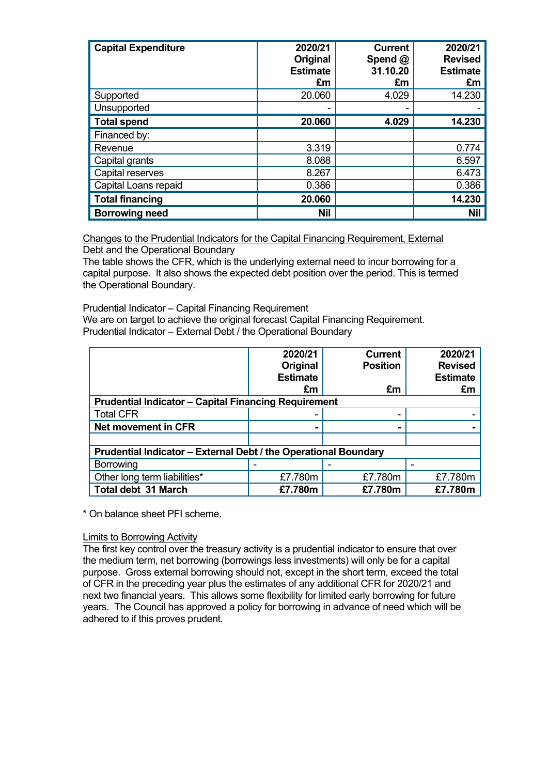| <b>Capital Expenditure</b> | 2020/21<br>Original<br><b>Estimate</b><br>£m | <b>Current</b><br>Spend @<br>31.10.20<br>£m | 2020/21<br><b>Revised</b><br><b>Estimate</b><br>£m |
|----------------------------|----------------------------------------------|---------------------------------------------|----------------------------------------------------|
| Supported                  | 20.060                                       | 4.029                                       | 14.230                                             |
| Unsupported                |                                              |                                             |                                                    |
| <b>Total spend</b>         | 20.060                                       | 4.029                                       | 14.230                                             |
| Financed by:               |                                              |                                             |                                                    |
| Revenue                    | 3.319                                        |                                             | 0.774                                              |
| Capital grants             | 8.088                                        |                                             | 6.597                                              |
| Capital reserves           | 8.267                                        |                                             | 6.473                                              |
| Capital Loans repaid       | 0.386                                        |                                             | 0.386                                              |
| <b>Total financing</b>     | 20.060                                       |                                             | 14.230                                             |
| <b>Borrowing need</b>      | <b>Nil</b>                                   |                                             | <b>Nil</b>                                         |

Changes to the Prudential Indicators for the Capital Financing Requirement, External Debt and the Operational Boundary

The table shows the CFR, which is the underlying external need to incur borrowing for a capital purpose. It also shows the expected debt position over the period. This is termed the Operational Boundary.

Prudential Indicator – Capital Financing Requirement

We are on target to achieve the original forecast Capital Financing Requirement.

Prudential Indicator – External Debt / the Operational Boundary

|                                                                 | 2020/21         | <b>Current</b>  | 2020/21         |  |
|-----------------------------------------------------------------|-----------------|-----------------|-----------------|--|
|                                                                 | Original        | <b>Position</b> | <b>Revised</b>  |  |
|                                                                 | <b>Estimate</b> |                 | <b>Estimate</b> |  |
|                                                                 | £m              | £m              | £m              |  |
| <b>Prudential Indicator - Capital Financing Requirement</b>     |                 |                 |                 |  |
| <b>Total CFR</b>                                                |                 |                 |                 |  |
| <b>Net movement in CFR</b>                                      |                 |                 |                 |  |
|                                                                 |                 |                 |                 |  |
| Prudential Indicator - External Debt / the Operational Boundary |                 |                 |                 |  |
| Borrowing                                                       |                 |                 |                 |  |
| Other long term liabilities*                                    | £7.780m         | £7.780m         | £7.780m         |  |
| <b>Total debt 31 March</b>                                      | £7.780m         | £7.780m         | £7.780m         |  |

\* On balance sheet PFI scheme.

### Limits to Borrowing Activity

The first key control over the treasury activity is a prudential indicator to ensure that over the medium term, net borrowing (borrowings less investments) will only be for a capital purpose. Gross external borrowing should not, except in the short term, exceed the total of CFR in the preceding year plus the estimates of any additional CFR for 2020/21 and next two financial years. This allows some flexibility for limited early borrowing for future years. The Council has approved a policy for borrowing in advance of need which will be adhered to if this proves prudent.